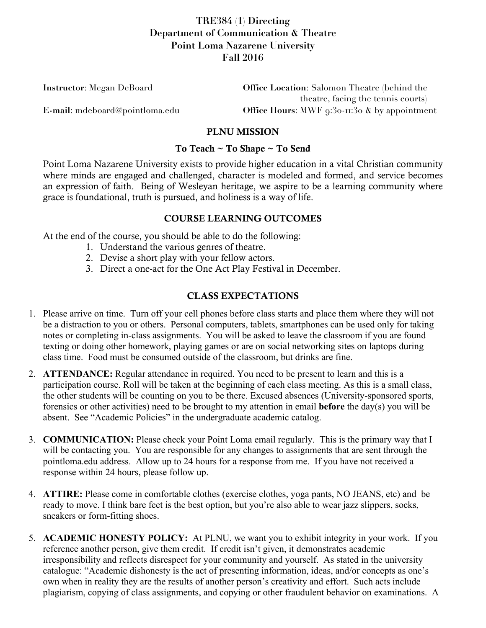# **TRE384 (1) Directing Department of Communication & Theatre Point Loma Nazarene University Fall 2016**

| <b>Instructor:</b> Megan DeBoard | <b>Office Location:</b> Salomon Theatre (behind the                |
|----------------------------------|--------------------------------------------------------------------|
|                                  | theatre, facing the tennis courts)                                 |
| E-mail: mdeboard@pointloma.edu   | Office Hours: MWF $9:30 \cdot \text{II} \cdot 30$ & by appointment |

#### PLNU MISSION

#### To Teach ~ To Shape ~ To Send

Point Loma Nazarene University exists to provide higher education in a vital Christian community where minds are engaged and challenged, character is modeled and formed, and service becomes an expression of faith. Being of Wesleyan heritage, we aspire to be a learning community where grace is foundational, truth is pursued, and holiness is a way of life.

### COURSE LEARNING OUTCOMES

At the end of the course, you should be able to do the following:

- 1. Understand the various genres of theatre.
- 2. Devise a short play with your fellow actors.
- 3. Direct a one-act for the One Act Play Festival in December.

## CLASS EXPECTATIONS

- 1. Please arrive on time. Turn off your cell phones before class starts and place them where they will not be a distraction to you or others. Personal computers, tablets, smartphones can be used only for taking notes or completing in-class assignments. You will be asked to leave the classroom if you are found texting or doing other homework, playing games or are on social networking sites on laptops during class time. Food must be consumed outside of the classroom, but drinks are fine.
- 2. **ATTENDANCE:** Regular attendance in required. You need to be present to learn and this is a participation course. Roll will be taken at the beginning of each class meeting. As this is a small class, the other students will be counting on you to be there. Excused absences (University-sponsored sports, forensics or other activities) need to be brought to my attention in email **before** the day(s) you will be absent. See "Academic Policies" in the undergraduate academic catalog.
- 3. **COMMUNICATION:** Please check your Point Loma email regularly. This is the primary way that I will be contacting you. You are responsible for any changes to assignments that are sent through the pointloma.edu address. Allow up to 24 hours for a response from me. If you have not received a response within 24 hours, please follow up.
- 4. **ATTIRE:** Please come in comfortable clothes (exercise clothes, yoga pants, NO JEANS, etc) and be ready to move. I think bare feet is the best option, but you're also able to wear jazz slippers, socks, sneakers or form-fitting shoes.
- 5. **ACADEMIC HONESTY POLICY:** At PLNU, we want you to exhibit integrity in your work. If you reference another person, give them credit. If credit isn't given, it demonstrates academic irresponsibility and reflects disrespect for your community and yourself. As stated in the university catalogue: "Academic dishonesty is the act of presenting information, ideas, and/or concepts as one's own when in reality they are the results of another person's creativity and effort. Such acts include plagiarism, copying of class assignments, and copying or other fraudulent behavior on examinations. A